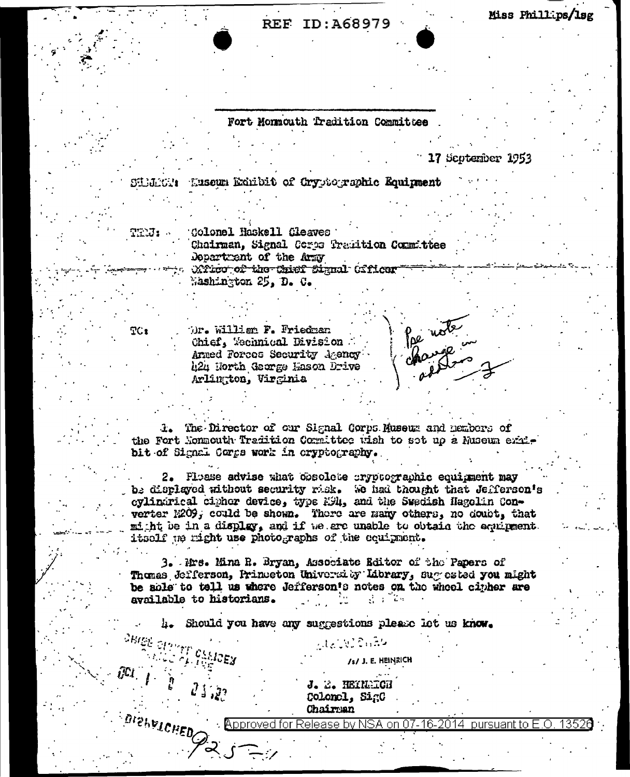## **REF ID:A68979**

## Miss Phill Ds/lsg

Fort Monnouth Tradition Committee

17 September 1953

Euseum Edmbit of Crystographic Equimment **STEJECTI** 

> Colonel Haskell Cleaves Chairman, Signal Corps Tradition Committee Department of the Army Wrico of the Chief Signal Cfficer Mashington 25, D. C.

Or. William F. Friedman Chief, Wechnical Division Armed Forces Security Agency h2h North George Mason Drive Arlington, Virginia

1. The Director of our Signal Corps Museum and Dembers of the Fort Nonmouth Tradition Committee wish to set up a Museum exisbit of Signal Coras work in cryptography.

2. Please advise what obsolete eryptographic equipment may be displayed without security risk. We had thought that Jefferson's cylindrical cipher device, type K94, and the Swedish Hagolin Converter M209, could be shown. There are many others, no doubt, that mitht be in a display, and if we are unable to obtain the equipment. itself we right use photographs of the equipment.

3. Hrs. Mina R. Bryan, Associate Editor of the Papers of Thomas Jefferson, Princeton University Library, suggested you might be able to tell us where Jefferson's notes on the wheel cipher are available to historians.

Should you have any suggestions please let us know.

/s/ J. E. HEINRICH J. E. HEINEIGH

 $\mathcal{A} = \{ \mathcal{A}, \mathcal{B}, \mathcal{B} \}$ 

Colonel, SigC Chairman

**SPATCHED** 

Starrin CSEICEY

. Approved for Release by NSA on 07-16-2014 pursuant to E.O. 1352)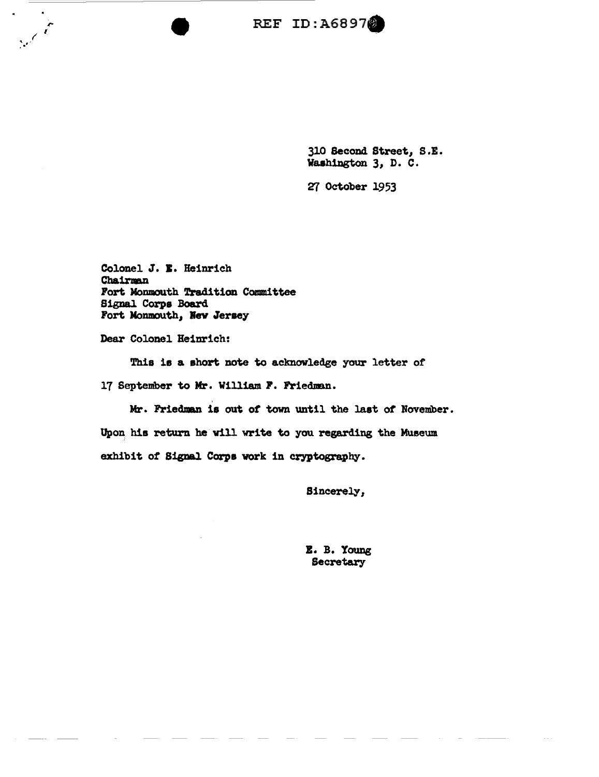REF ID:A6897

310 Second Street, S.E. Washington 3, D. C.

27 October 1953

Colonel J. E. Heinrich Chairman Fort Monmouth Tradition Committee Signal Corps Board Fort Monmouth, New Jersey

Dear Colonel Heinrich:

and the contract of the contract of the contract of the contract of the contract of the contract of the contract of the contract of the contract of the contract of the contract of the contract of the contract of the contra

This is a short note to acknowledge your letter of

17 September to Mr. William F. Friedman.

Mr. Friedan is out *ot* town until the last of November.

Upon his return he will write to you regarding the Museum exhibit of Signal Corps work in cryptography.

Sincerely,

I. B. Young Secretary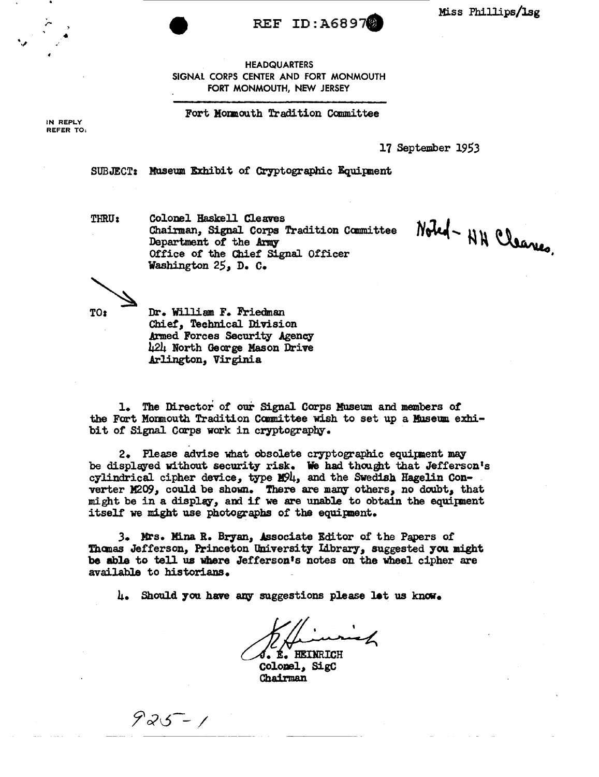Miss Phillips/lsg



## **REF ID: A6897**

**HEADQUARTERS** SIGNAL CORPS CENTER AND FORT MONMOUTH FORT MONMOUTH. NEW JERSEY

Fort Monmouth Tradition Committee

IN REPLY REFER TO:

17 September 1953

SUBJECT: Museum Exhibit of Cryptographic Equipment

**THRU:** 

Colonel Haskell Cleaves Chairman, Signal Corps Tradition Committee Department of the Army Office of the Chief Signal Officer Washington 25, D. C.

Noted-HH Cleanes.

TO:

Dr. William F. Friedman Chief, Technical Division Armed Forces Security Agency 424 North George Mason Drive Arlington, Virginia

1. The Director of our Signal Corps Museum and members of the Fort Mormouth Tradition Committee wish to set up a Museum exhibit of Signal Corps work in cryptography.

2. Please advise what obsolete cryptographic equipment may be displayed without security risk. We had thought that Jefferson's cylindrical cipher device, type M94, and the Swedish Hagelin Converter M209, could be shown. There are many others, no doubt, that might be in a display, and if we are unable to obtain the equipment itself we might use photographs of the equipment.

3. Mrs. Mina R. Bryan, Associate Editor of the Papers of Thomas Jefferson, Princeton University Library, suggested you might be able to tell us where Jefferson's notes on the wheel cipher are available to historians.

4. Should you have any suggestions please let us know.

É. HEINRICH

Colomel, SigC Chairman

 $925 - 1$